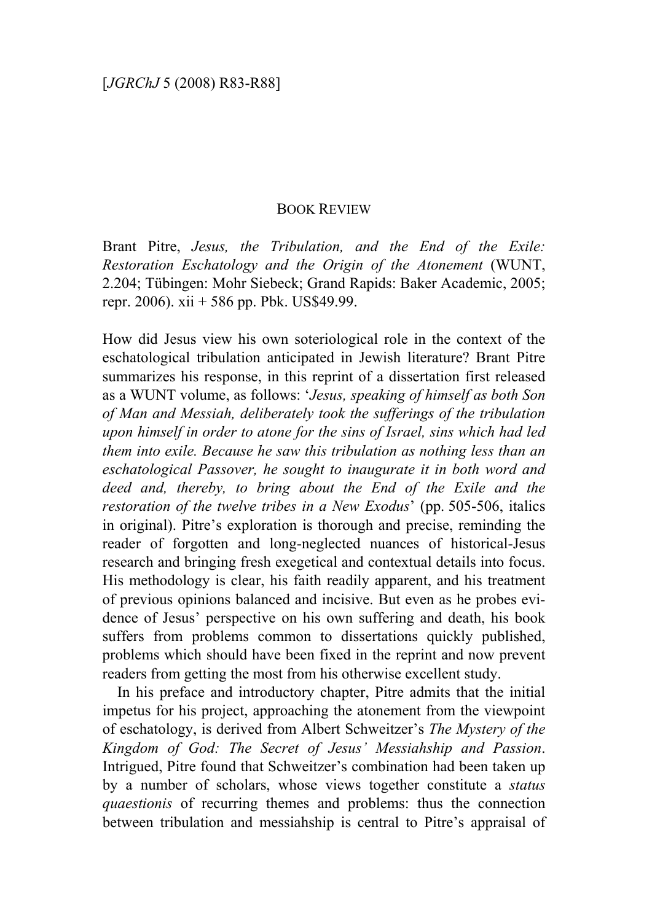## BOOK REVIEW

Brant Pitre, *Jesus, the Tribulation, and the End of the Exile: Restoration Eschatology and the Origin of the Atonement* (WUNT, 2.204; Tübingen: Mohr Siebeck; Grand Rapids: Baker Academic, 2005; repr. 2006). xii + 586 pp. Pbk. US\$49.99.

How did Jesus view his own soteriological role in the context of the eschatological tribulation anticipated in Jewish literature? Brant Pitre summarizes his response, in this reprint of a dissertation first released as a WUNT volume, as follows: '*Jesus, speaking of himself as both Son of Man and Messiah, deliberately took the sufferings of the tribulation upon himself in order to atone for the sins of Israel, sins which had led them into exile. Because he saw this tribulation as nothing less than an eschatological Passover, he sought to inaugurate it in both word and deed and, thereby, to bring about the End of the Exile and the restoration of the twelve tribes in a New Exodus*' (pp. 505-506, italics in original). Pitre's exploration is thorough and precise, reminding the reader of forgotten and long-neglected nuances of historical-Jesus research and bringing fresh exegetical and contextual details into focus. His methodology is clear, his faith readily apparent, and his treatment of previous opinions balanced and incisive. But even as he probes evidence of Jesus' perspective on his own suffering and death, his book suffers from problems common to dissertations quickly published, problems which should have been fixed in the reprint and now prevent readers from getting the most from his otherwise excellent study.

In his preface and introductory chapter, Pitre admits that the initial impetus for his project, approaching the atonement from the viewpoint of eschatology, is derived from Albert Schweitzer's *The Mystery of the Kingdom of God: The Secret of Jesus' Messiahship and Passion*. Intrigued, Pitre found that Schweitzer's combination had been taken up by a number of scholars, whose views together constitute a *status quaestionis* of recurring themes and problems: thus the connection between tribulation and messiahship is central to Pitre's appraisal of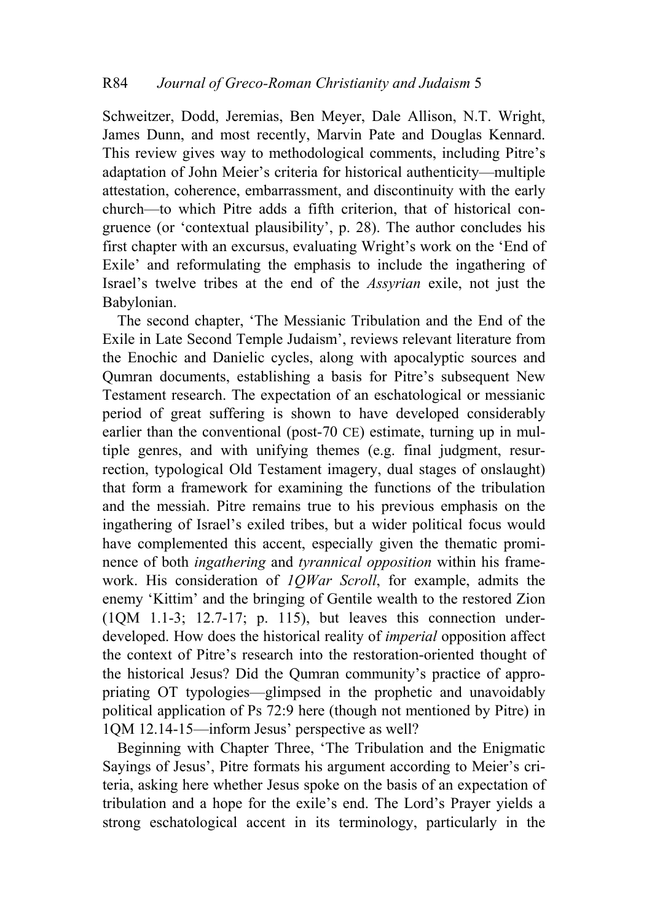Schweitzer, Dodd, Jeremias, Ben Meyer, Dale Allison, N.T. Wright, James Dunn, and most recently, Marvin Pate and Douglas Kennard. This review gives way to methodological comments, including Pitre's adaptation of John Meier's criteria for historical authenticity—multiple attestation, coherence, embarrassment, and discontinuity with the early church—to which Pitre adds a fifth criterion, that of historical congruence (or 'contextual plausibility', p. 28). The author concludes his first chapter with an excursus, evaluating Wright's work on the 'End of Exile' and reformulating the emphasis to include the ingathering of Israel's twelve tribes at the end of the *Assyrian* exile, not just the Babylonian.

The second chapter, 'The Messianic Tribulation and the End of the Exile in Late Second Temple Judaism', reviews relevant literature from the Enochic and Danielic cycles, along with apocalyptic sources and Qumran documents, establishing a basis for Pitre's subsequent New Testament research. The expectation of an eschatological or messianic period of great suffering is shown to have developed considerably earlier than the conventional (post-70 CE) estimate, turning up in multiple genres, and with unifying themes (e.g. final judgment, resurrection, typological Old Testament imagery, dual stages of onslaught) that form a framework for examining the functions of the tribulation and the messiah. Pitre remains true to his previous emphasis on the ingathering of Israel's exiled tribes, but a wider political focus would have complemented this accent, especially given the thematic prominence of both *ingathering* and *tyrannical opposition* within his framework. His consideration of *1QWar Scroll*, for example, admits the enemy 'Kittim' and the bringing of Gentile wealth to the restored Zion (1QM 1.1-3; 12.7-17; p. 115), but leaves this connection underdeveloped. How does the historical reality of *imperial* opposition affect the context of Pitre's research into the restoration-oriented thought of the historical Jesus? Did the Qumran community's practice of appropriating OT typologies—glimpsed in the prophetic and unavoidably political application of Ps 72:9 here (though not mentioned by Pitre) in 1QM 12.14-15—inform Jesus' perspective as well?

Beginning with Chapter Three, 'The Tribulation and the Enigmatic Sayings of Jesus', Pitre formats his argument according to Meier's criteria, asking here whether Jesus spoke on the basis of an expectation of tribulation and a hope for the exile's end. The Lord's Prayer yields a strong eschatological accent in its terminology, particularly in the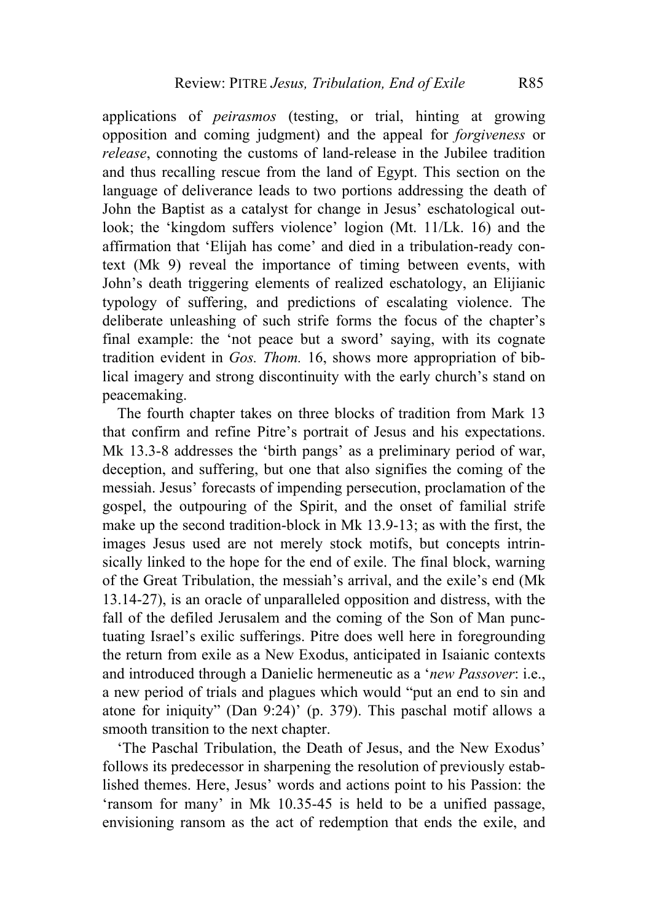applications of *peirasmos* (testing, or trial, hinting at growing opposition and coming judgment) and the appeal for *forgiveness* or *release*, connoting the customs of land-release in the Jubilee tradition and thus recalling rescue from the land of Egypt. This section on the language of deliverance leads to two portions addressing the death of John the Baptist as a catalyst for change in Jesus' eschatological outlook; the 'kingdom suffers violence' logion (Mt. 11/Lk. 16) and the affirmation that 'Elijah has come' and died in a tribulation-ready context (Mk 9) reveal the importance of timing between events, with John's death triggering elements of realized eschatology, an Elijianic typology of suffering, and predictions of escalating violence. The deliberate unleashing of such strife forms the focus of the chapter's final example: the 'not peace but a sword' saying, with its cognate tradition evident in *Gos. Thom.* 16, shows more appropriation of biblical imagery and strong discontinuity with the early church's stand on peacemaking.

The fourth chapter takes on three blocks of tradition from Mark 13 that confirm and refine Pitre's portrait of Jesus and his expectations. Mk 13.3-8 addresses the 'birth pangs' as a preliminary period of war, deception, and suffering, but one that also signifies the coming of the messiah. Jesus' forecasts of impending persecution, proclamation of the gospel, the outpouring of the Spirit, and the onset of familial strife make up the second tradition-block in Mk 13.9-13; as with the first, the images Jesus used are not merely stock motifs, but concepts intrinsically linked to the hope for the end of exile. The final block, warning of the Great Tribulation, the messiah's arrival, and the exile's end (Mk 13.14-27), is an oracle of unparalleled opposition and distress, with the fall of the defiled Jerusalem and the coming of the Son of Man punctuating Israel's exilic sufferings. Pitre does well here in foregrounding the return from exile as a New Exodus, anticipated in Isaianic contexts and introduced through a Danielic hermeneutic as a '*new Passover*: i.e., a new period of trials and plagues which would "put an end to sin and atone for iniquity" (Dan 9:24)' (p. 379). This paschal motif allows a smooth transition to the next chapter.

'The Paschal Tribulation, the Death of Jesus, and the New Exodus' follows its predecessor in sharpening the resolution of previously established themes. Here, Jesus' words and actions point to his Passion: the 'ransom for many' in Mk 10.35-45 is held to be a unified passage, envisioning ransom as the act of redemption that ends the exile, and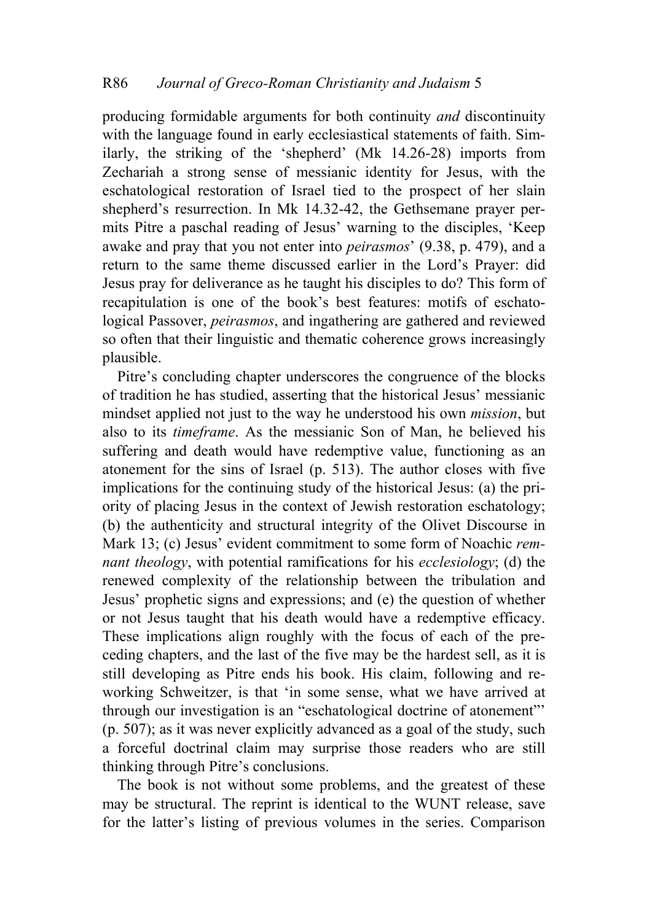producing formidable arguments for both continuity *and* discontinuity with the language found in early ecclesiastical statements of faith. Similarly, the striking of the 'shepherd' (Mk 14.26-28) imports from Zechariah a strong sense of messianic identity for Jesus, with the eschatological restoration of Israel tied to the prospect of her slain shepherd's resurrection. In Mk 14.32-42, the Gethsemane prayer permits Pitre a paschal reading of Jesus' warning to the disciples, 'Keep awake and pray that you not enter into *peirasmos*' (9.38, p. 479), and a return to the same theme discussed earlier in the Lord's Prayer: did Jesus pray for deliverance as he taught his disciples to do? This form of recapitulation is one of the book's best features: motifs of eschatological Passover, *peirasmos*, and ingathering are gathered and reviewed so often that their linguistic and thematic coherence grows increasingly plausible.

Pitre's concluding chapter underscores the congruence of the blocks of tradition he has studied, asserting that the historical Jesus' messianic mindset applied not just to the way he understood his own *mission*, but also to its *timeframe*. As the messianic Son of Man, he believed his suffering and death would have redemptive value, functioning as an atonement for the sins of Israel (p. 513). The author closes with five implications for the continuing study of the historical Jesus: (a) the priority of placing Jesus in the context of Jewish restoration eschatology; (b) the authenticity and structural integrity of the Olivet Discourse in Mark 13; (c) Jesus' evident commitment to some form of Noachic *remnant theology*, with potential ramifications for his *ecclesiology*; (d) the renewed complexity of the relationship between the tribulation and Jesus' prophetic signs and expressions; and (e) the question of whether or not Jesus taught that his death would have a redemptive efficacy. These implications align roughly with the focus of each of the preceding chapters, and the last of the five may be the hardest sell, as it is still developing as Pitre ends his book. His claim, following and reworking Schweitzer, is that 'in some sense, what we have arrived at through our investigation is an "eschatological doctrine of atonement"' (p. 507); as it was never explicitly advanced as a goal of the study, such a forceful doctrinal claim may surprise those readers who are still thinking through Pitre's conclusions.

The book is not without some problems, and the greatest of these may be structural. The reprint is identical to the WUNT release, save for the latter's listing of previous volumes in the series. Comparison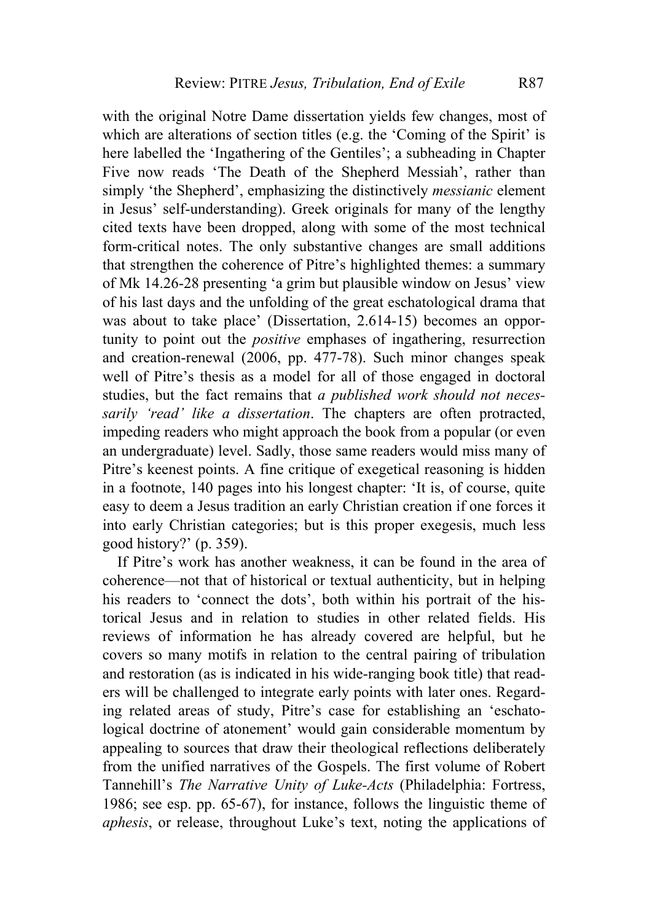with the original Notre Dame dissertation yields few changes, most of which are alterations of section titles (e.g. the 'Coming of the Spirit' is here labelled the 'Ingathering of the Gentiles'; a subheading in Chapter Five now reads 'The Death of the Shepherd Messiah', rather than simply 'the Shepherd', emphasizing the distinctively *messianic* element in Jesus' self-understanding). Greek originals for many of the lengthy cited texts have been dropped, along with some of the most technical form-critical notes. The only substantive changes are small additions that strengthen the coherence of Pitre's highlighted themes: a summary of Mk 14.26-28 presenting 'a grim but plausible window on Jesus' view of his last days and the unfolding of the great eschatological drama that was about to take place' (Dissertation, 2.614-15) becomes an opportunity to point out the *positive* emphases of ingathering, resurrection and creation-renewal (2006, pp. 477-78). Such minor changes speak well of Pitre's thesis as a model for all of those engaged in doctoral studies, but the fact remains that *a published work should not necessarily 'read' like a dissertation*. The chapters are often protracted, impeding readers who might approach the book from a popular (or even an undergraduate) level. Sadly, those same readers would miss many of Pitre's keenest points. A fine critique of exegetical reasoning is hidden in a footnote, 140 pages into his longest chapter: 'It is, of course, quite easy to deem a Jesus tradition an early Christian creation if one forces it into early Christian categories; but is this proper exegesis, much less good history?' (p. 359).

If Pitre's work has another weakness, it can be found in the area of coherence—not that of historical or textual authenticity, but in helping his readers to 'connect the dots', both within his portrait of the historical Jesus and in relation to studies in other related fields. His reviews of information he has already covered are helpful, but he covers so many motifs in relation to the central pairing of tribulation and restoration (as is indicated in his wide-ranging book title) that readers will be challenged to integrate early points with later ones. Regarding related areas of study, Pitre's case for establishing an 'eschatological doctrine of atonement' would gain considerable momentum by appealing to sources that draw their theological reflections deliberately from the unified narratives of the Gospels. The first volume of Robert Tannehill's *The Narrative Unity of Luke-Acts* (Philadelphia: Fortress, 1986; see esp. pp. 65-67), for instance, follows the linguistic theme of *aphesis*, or release, throughout Luke's text, noting the applications of